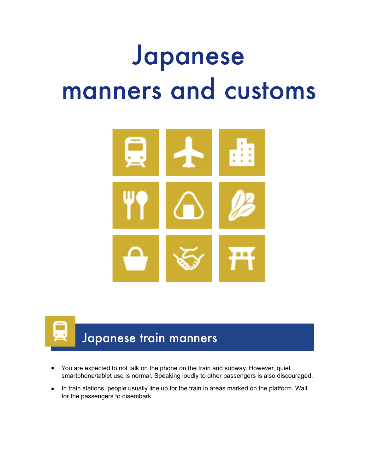# Japanese manners and customs





- You are expected to not talk on the phone on the train and subway. However, quiet smartphone/tablet use is normal. Speaking loudly to other passengers is also discouraged.
- In train stations, people usually line up for the train in areas marked on the platform. Wait for the passengers to disembark.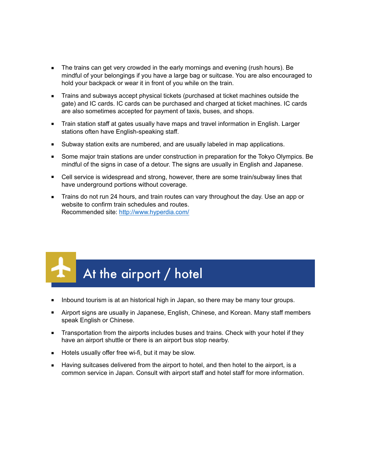- The trains can get very crowded in the early mornings and evening (rush hours). Be mindful of your belongings if you have a large bag or suitcase. You are also encouraged to hold your backpack or wear it in front of you while on the train.
- Trains and subways accept physical tickets (purchased at ticket machines outside the gate) and IC cards. IC cards can be purchased and charged at ticket machines. IC cards are also sometimes accepted for payment of taxis, buses, and shops.
- Train station staff at gates usually have maps and travel information in English. Larger stations often have English-speaking staff.
- Subway station exits are numbered, and are usually labeled in map applications.
- Some major train stations are under construction in preparation for the Tokyo Olympics. Be mindful of the signs in case of a detour. The signs are usually in English and Japanese.
- Cell service is widespread and strong, however, there are some train/subway lines that have underground portions without coverage.
- Trains do not run 24 hours, and train routes can vary throughout the day. Use an app or website to confirm train schedules and routes. Recommended site:<http://www.hyperdia.com/>

## At the airport / hotel

- Inbound tourism is at an historical high in Japan, so there may be many tour groups.
- Airport signs are usually in Japanese, English, Chinese, and Korean. Many staff members speak English or Chinese.
- Transportation from the airports includes buses and trains. Check with your hotel if they have an airport shuttle or there is an airport bus stop nearby.
- Hotels usually offer free wi-fi, but it may be slow.
- Having suitcases delivered from the airport to hotel, and then hotel to the airport, is a common service in Japan. Consult with airport staff and hotel staff for more information.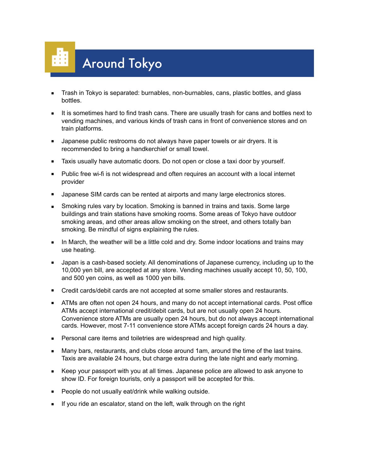

- Trash in Tokyo is separated: burnables, non-burnables, cans, plastic bottles, and glass bottles.
- It is sometimes hard to find trash cans. There are usually trash for cans and bottles next to vending machines, and various kinds of trash cans in front of convenience stores and on train platforms.
- Japanese public restrooms do not always have paper towels or air dryers. It is recommended to bring a handkerchief or small towel.
- Taxis usually have automatic doors. Do not open or close a taxi door by yourself.
- Public free wi-fi is not widespread and often requires an account with a local internet provider
- Japanese SIM cards can be rented at airports and many large electronics stores.
- Smoking rules vary by location. Smoking is banned in trains and taxis. Some large buildings and train stations have smoking rooms. Some areas of Tokyo have outdoor smoking areas, and other areas allow smoking on the street, and others totally ban smoking. Be mindful of signs explaining the rules.
- In March, the weather will be a little cold and dry. Some indoor locations and trains may use heating.
- Japan is a cash-based society. All denominations of Japanese currency, including up to the 10,000 yen bill, are accepted at any store. Vending machines usually accept 10, 50, 100, and 500 yen coins, as well as 1000 yen bills.
- Credit cards/debit cards are not accepted at some smaller stores and restaurants.
- ATMs are often not open 24 hours, and many do not accept international cards. Post office ATMs accept international credit/debit cards, but are not usually open 24 hours. Convenience store ATMs are usually open 24 hours, but do not always accept international cards. However, most 7-11 convenience store ATMs accept foreign cards 24 hours a day.
- Personal care items and toiletries are widespread and high quality.
- Many bars, restaurants, and clubs close around 1am, around the time of the last trains. Taxis are available 24 hours, but charge extra during the late night and early morning.
- Keep your passport with you at all times. Japanese police are allowed to ask anyone to show ID. For foreign tourists, only a passport will be accepted for this.
- People do not usually eat/drink while walking outside.
- If you ride an escalator, stand on the left, walk through on the right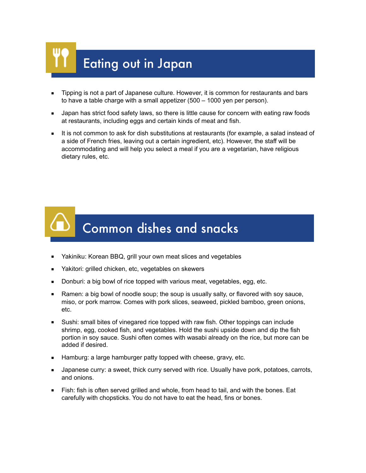# Eating out in Japan

- Tipping is not a part of Japanese culture. However, it is common for restaurants and bars to have a table charge with a small appetizer (500 – 1000 yen per person).
- Japan has strict food safety laws, so there is little cause for concern with eating raw foods at restaurants, including eggs and certain kinds of meat and fish.
- It is not common to ask for dish substitutions at restaurants (for example, a salad instead of a side of French fries, leaving out a certain ingredient, etc). However, the staff will be accommodating and will help you select a meal if you are a vegetarian, have religious dietary rules, etc.

### Common dishes and snacks

- Yakiniku: Korean BBQ, grill your own meat slices and vegetables
- Yakitori: grilled chicken, etc, vegetables on skewers
- Donburi: a big bowl of rice topped with various meat, vegetables, egg, etc.
- Ramen: a big bowl of noodle soup; the soup is usually salty, or flavored with soy sauce, miso, or pork marrow. Comes with pork slices, seaweed, pickled bamboo, green onions, etc.
- Sushi: small bites of vinegared rice topped with raw fish. Other toppings can include shrimp, egg, cooked fish, and vegetables. Hold the sushi upside down and dip the fish portion in soy sauce. Sushi often comes with wasabi already on the rice, but more can be added if desired.
- Hamburg: a large hamburger patty topped with cheese, gravy, etc.
- Japanese curry: a sweet, thick curry served with rice. Usually have pork, potatoes, carrots, and onions.
- Fish: fish is often served grilled and whole, from head to tail, and with the bones. Eat carefully with chopsticks. You do not have to eat the head, fins or bones.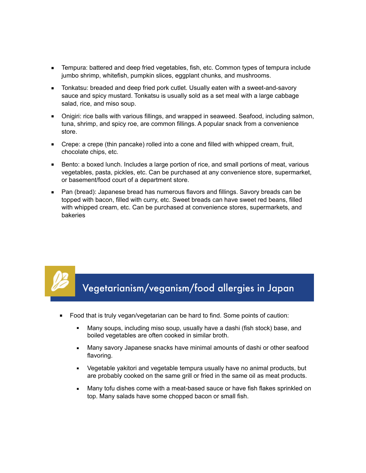- Tempura: battered and deep fried vegetables, fish, etc. Common types of tempura include jumbo shrimp, whitefish, pumpkin slices, eggplant chunks, and mushrooms.
- Tonkatsu: breaded and deep fried pork cutlet. Usually eaten with a sweet-and-savory sauce and spicy mustard. Tonkatsu is usually sold as a set meal with a large cabbage salad, rice, and miso soup.
- Onigiri: rice balls with various fillings, and wrapped in seaweed. Seafood, including salmon, tuna, shrimp, and spicy roe, are common fillings. A popular snack from a convenience store.
- Crepe: a crepe (thin pancake) rolled into a cone and filled with whipped cream, fruit, chocolate chips, etc.
- Bento: a boxed lunch. Includes a large portion of rice, and small portions of meat, various vegetables, pasta, pickles, etc. Can be purchased at any convenience store, supermarket, or basement/food court of a department store.
- Pan (bread): Japanese bread has numerous flavors and fillings. Savory breads can be topped with bacon, filled with curry, etc. Sweet breads can have sweet red beans, filled with whipped cream, etc. Can be purchased at convenience stores, supermarkets, and bakeries

#### Vegetarianism/veganism/food allergies in Japan

- Food that is truly vegan/vegetarian can be hard to find. Some points of caution:
	- Many soups, including miso soup, usually have a dashi (fish stock) base, and boiled vegetables are often cooked in similar broth.
	- **Many savory Japanese snacks have minimal amounts of dashi or other seafood** flavoring.
	- Vegetable yakitori and vegetable tempura usually have no animal products, but are probably cooked on the same grill or fried in the same oil as meat products.
	- **■** Many tofu dishes come with a meat-based sauce or have fish flakes sprinkled on top. Many salads have some chopped bacon or small fish.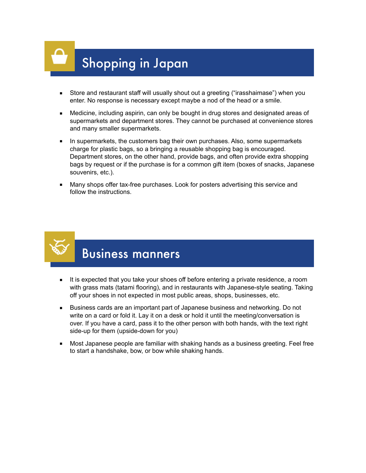## Shopping in Japan

- Store and restaurant staff will usually shout out a greeting ("irasshaimase") when you enter. No response is necessary except maybe a nod of the head or a smile.
- Medicine, including aspirin, can only be bought in drug stores and designated areas of supermarkets and department stores. They cannot be purchased at convenience stores and many smaller supermarkets.
- In supermarkets, the customers bag their own purchases. Also, some supermarkets charge for plastic bags, so a bringing a reusable shopping bag is encouraged. Department stores, on the other hand, provide bags, and often provide extra shopping bags by request or if the purchase is for a common gift item (boxes of snacks, Japanese souvenirs, etc.).
- Many shops offer tax-free purchases. Look for posters advertising this service and follow the instructions.



### Business manners

- It is expected that you take your shoes off before entering a private residence, a room with grass mats (tatami flooring), and in restaurants with Japanese-style seating. Taking off your shoes in not expected in most public areas, shops, businesses, etc.
- Business cards are an important part of Japanese business and networking. Do not write on a card or fold it. Lay it on a desk or hold it until the meeting/conversation is over. If you have a card, pass it to the other person with both hands, with the text right side-up for them (upside-down for you)
- Most Japanese people are familiar with shaking hands as a business greeting. Feel free to start a handshake, bow, or bow while shaking hands.